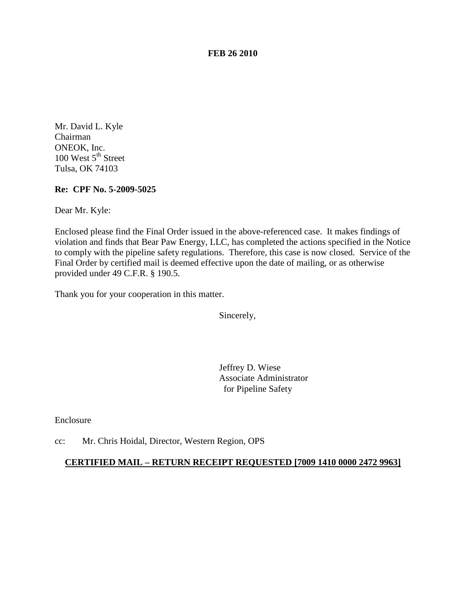**FEB 26 2010**

Mr. David L. Kyle Chairman ONEOK, Inc. 100 West  $5<sup>th</sup>$  Street Tulsa, OK 74103

**Re: CPF No. 5-2009-5025**

Dear Mr. Kyle:

Enclosed please find the Final Order issued in the above-referenced case. It makes findings of violation and finds that Bear Paw Energy, LLC, has completed the actions specified in the Notice to comply with the pipeline safety regulations. Therefore, this case is now closed. Service of the Final Order by certified mail is deemed effective upon the date of mailing, or as otherwise provided under 49 C.F.R. § 190.5.

Thank you for your cooperation in this matter.

Sincerely,

Jeffrey D. Wiese Associate Administrator for Pipeline Safety

Enclosure

cc: Mr. Chris Hoidal, Director, Western Region, OPS

## **CERTIFIED MAIL – RETURN RECEIPT REQUESTED [7009 1410 0000 2472 9963]**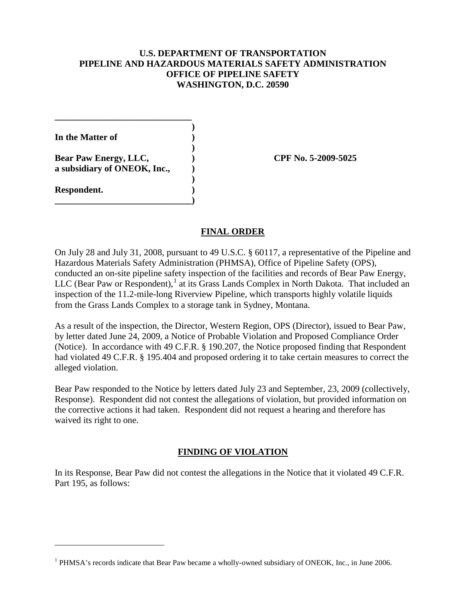## **U.S. DEPARTMENT OF TRANSPORTATION PIPELINE AND HAZARDOUS MATERIALS SAFETY ADMINISTRATION OFFICE OF PIPELINE SAFETY WASHINGTON, D.C. 20590**

**) In the Matter of ) ) Bear Paw Energy, LLC, ) CPF No. 5-2009-5025 a subsidiary of ONEOK, Inc., ) ) Respondent. ) \_\_\_\_\_\_\_\_\_\_\_\_\_\_\_\_\_\_\_\_\_\_\_\_\_\_\_\_\_\_)**

 $\overline{a}$ 

**\_\_\_\_\_\_\_\_\_\_\_\_\_\_\_\_\_\_\_\_\_\_\_\_\_\_\_\_\_\_**

## **FINAL ORDER**

On July 28 and July 31, 2008, pursuant to 49 U.S.C. § 60117, a representative of the Pipeline and Hazardous Materials Safety Administration (PHMSA), Office of Pipeline Safety (OPS), conducted an on-site pipeline safety inspection of the facilities and records of Bear Paw Energy, LLC (Bear Paw or Respondent), $<sup>1</sup>$  $<sup>1</sup>$  $<sup>1</sup>$  at its Grass Lands Complex in North Dakota. That included an</sup> inspection of the 11.2-mile-long Riverview Pipeline, which transports highly volatile liquids from the Grass Lands Complex to a storage tank in Sydney, Montana.

As a result of the inspection, the Director, Western Region, OPS (Director), issued to Bear Paw, by letter dated June 24, 2009, a Notice of Probable Violation and Proposed Compliance Order (Notice). In accordance with 49 C.F.R. § 190.207, the Notice proposed finding that Respondent had violated 49 C.F.R. § 195.404 and proposed ordering it to take certain measures to correct the alleged violation.

Bear Paw responded to the Notice by letters dated July 23 and September, 23, 2009 (collectively, Response). Respondent did not contest the allegations of violation, but provided information on the corrective actions it had taken. Respondent did not request a hearing and therefore has waived its right to one.

# **FINDING OF VIOLATION**

In its Response, Bear Paw did not contest the allegations in the Notice that it violated 49 C.F.R. Part 195, as follows:

<span id="page-1-0"></span> $<sup>1</sup>$  PHMSA's records indicate that Bear Paw became a wholly-owned subsidiary of ONEOK, Inc., in June 2006.</sup>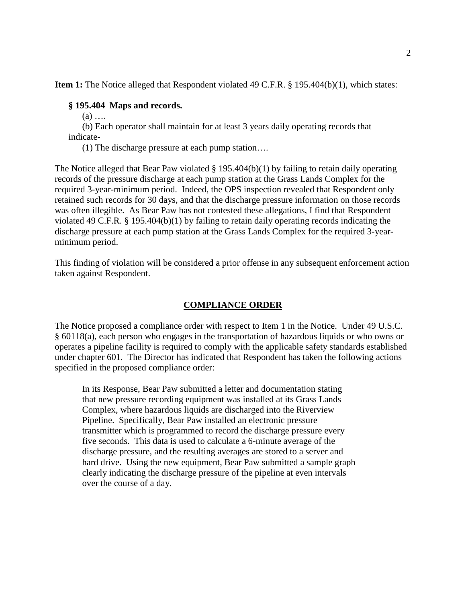**Item 1:** The Notice alleged that Respondent violated 49 C.F.R. § 195.404(b)(1), which states:

#### **§ 195.404 Maps and records.**

 $(a)$  ...

(b) Each operator shall maintain for at least 3 years daily operating records that indicate-

(1) The discharge pressure at each pump station….

The Notice alleged that Bear Paw violated  $\S 195.404(b)(1)$  by failing to retain daily operating records of the pressure discharge at each pump station at the Grass Lands Complex for the required 3-year-minimum period. Indeed, the OPS inspection revealed that Respondent only retained such records for 30 days, and that the discharge pressure information on those records was often illegible. As Bear Paw has not contested these allegations, I find that Respondent violated 49 C.F.R.  $\S$  195.404(b)(1) by failing to retain daily operating records indicating the discharge pressure at each pump station at the Grass Lands Complex for the required 3-yearminimum period.

This finding of violation will be considered a prior offense in any subsequent enforcement action taken against Respondent.

## **COMPLIANCE ORDER**

The Notice proposed a compliance order with respect to Item 1 in the Notice. Under 49 U.S.C. § 60118(a), each person who engages in the transportation of hazardous liquids or who owns or operates a pipeline facility is required to comply with the applicable safety standards established under chapter 601. The Director has indicated that Respondent has taken the following actions specified in the proposed compliance order:

In its Response, Bear Paw submitted a letter and documentation stating that new pressure recording equipment was installed at its Grass Lands Complex, where hazardous liquids are discharged into the Riverview Pipeline. Specifically, Bear Paw installed an electronic pressure transmitter which is programmed to record the discharge pressure every five seconds. This data is used to calculate a 6-minute average of the discharge pressure, and the resulting averages are stored to a server and hard drive. Using the new equipment, Bear Paw submitted a sample graph clearly indicating the discharge pressure of the pipeline at even intervals over the course of a day.